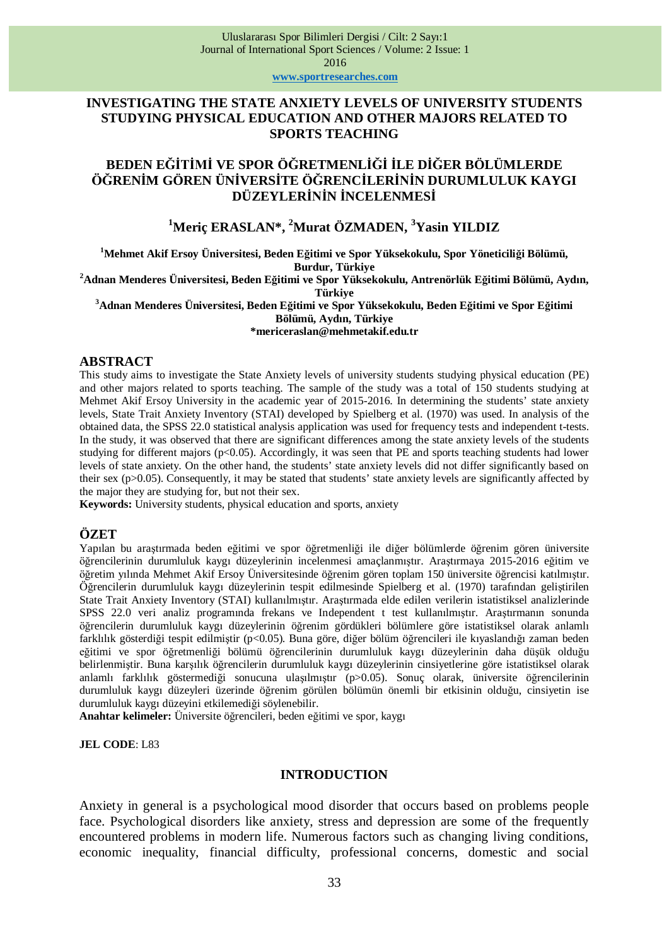### **INVESTIGATING THE STATE ANXIETY LEVELS OF UNIVERSITY STUDENTS STUDYING PHYSICAL EDUCATION AND OTHER MAJORS RELATED TO SPORTS TEACHING**

# **BEDEN Eöø7ø0ø VE SPOR ÖöRETMENLøöøøLE DøöER BÖLÜMLERDE göRENøM GÖREN ÜNøVERSøTE ÖöRENCøLERø1øN DURUMLULUK KAYGI**  *DÜZEYLERİNİN İNCELENMESİ*

## **<sup>1</sup>Meriç ERASLAN\*, <sup>2</sup>Murat ÖZMADEN, <sup>3</sup>Yasin YILDIZ**

**<sup>1</sup>Mehmet Akif Ersoy Üniversitesi, Beden E÷itimi ve Spor Yüksekokulu, Spor Yöneticili÷i Bölümü, Burdur, Türkiye** 

**<sup>2</sup>Adnan Menderes Üniversitesi, Beden E÷itimi ve Spor Yüksekokulu, Antrenörlük E÷itimi Bölümü, AydÕn, Türkiye** 

**<sup>3</sup>Adnan Menderes Üniversitesi, Beden E÷itimi ve Spor Yüksekokulu, Beden E÷itimi ve Spor E÷itimi Bölümü, AydÕn, Türkiye** 

**\*mericeraslan@mehmetakif.edu.tr**

#### **ABSTRACT**

This study aims to investigate the State Anxiety levels of university students studying physical education (PE) and other majors related to sports teaching. The sample of the study was a total of 150 students studying at Mehmet Akif Ersoy University in the academic year of 2015-2016. In determining the students' state anxiety levels, State Trait Anxiety Inventory (STAI) developed by Spielberg et al. (1970) was used. In analysis of the obtained data, the SPSS 22.0 statistical analysis application was used for frequency tests and independent t-tests. In the study, it was observed that there are significant differences among the state anxiety levels of the students studying for different majors (p<0.05). Accordingly, it was seen that PE and sports teaching students had lower levels of state anxiety. On the other hand, the students' state anxiety levels did not differ significantly based on their sex (p>0.05). Consequently, it may be stated that students' state anxiety levels are significantly affected by the major they are studying for, but not their sex.

**Keywords:** University students, physical education and sports, anxiety

# **ÖZET**

Yapılan bu arastırmada beden eğitimi ve spor öğretmenliği ile diğer bölümlerde öğrenim gören üniversite öğrencilerinin durumluluk kaygı düzeylerinin incelenmesi amaçlanmıştır. Arastırmaya 2015-2016 eğitim ve öğretim yılında Mehmet Akif Ersoy Üniversitesinde öğrenim gören toplam 150 üniversite öğrencisi katılmıştır. Öğrencilerin durumluluk kaygı düzeylerinin tespit edilmesinde Spielberg et al. (1970) tarafından geliştirilen State Trait Anxiety Inventory (STAI) kullanılmıştır. Araştırmada elde edilen verilerin istatistiksel analizlerinde SPSS 22.0 veri analiz programında frekans ve Independent t test kullanılmıştır. Araştırmanın sonunda öğrencilerin durumluluk kaygı düzeylerinin öğrenim gördükleri bölümlere göre istatistiksel olarak anlamlı farklılık gösterdiği tespit edilmiştir (p<0.05). Buna göre, diğer bölüm öğrencileri ile kıyaslandığı zaman beden eğitimi ve spor öğretmenliği bölümü öğrencilerinin durumluluk kaygı düzeylerinin daha düşük olduğu belirlenmiştir. Buna karşılık öğrencilerin durumluluk kaygı düzeylerinin cinsiyetlerine göre istatistiksel olarak anlamlı farklılık göstermediği sonucuna ulasılmıştır (p>0.05). Sonuc olarak, üniversite öğrencilerinin durumluluk kaygı düzeyleri üzerinde öğrenim görülen bölümün önemli bir etkisinin olduğu, cinsiyetin ise durumluluk kaygı düzeyini etkilemediği söylenebilir.

Anahtar kelimeler: Üniversite öğrencileri, beden eğitimi ve spor, kaygı

**JEL CODE**: L83

### **INTRODUCTION**

Anxiety in general is a psychological mood disorder that occurs based on problems people face. Psychological disorders like anxiety, stress and depression are some of the frequently encountered problems in modern life. Numerous factors such as changing living conditions, economic inequality, financial difficulty, professional concerns, domestic and social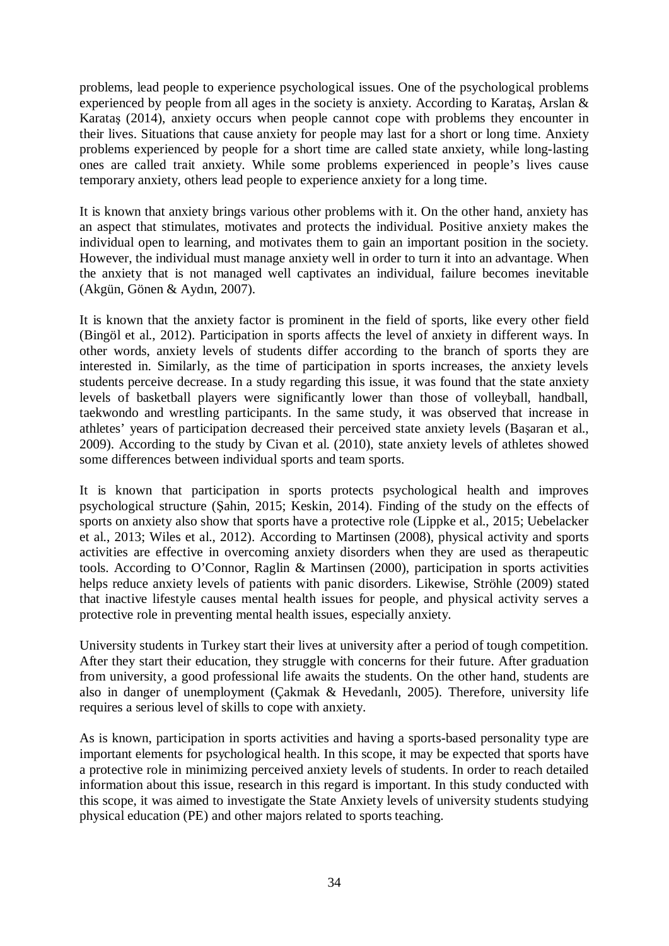problems, lead people to experience psychological issues. One of the psychological problems experienced by people from all ages in the society is anxiety. According to Karatas, Arslan  $\&$ Karatas (2014), anxiety occurs when people cannot cope with problems they encounter in their lives. Situations that cause anxiety for people may last for a short or long time. Anxiety problems experienced by people for a short time are called state anxiety, while long-lasting ones are called trait anxiety. While some problems experienced in people's lives cause temporary anxiety, others lead people to experience anxiety for a long time.

It is known that anxiety brings various other problems with it. On the other hand, anxiety has an aspect that stimulates, motivates and protects the individual. Positive anxiety makes the individual open to learning, and motivates them to gain an important position in the society. However, the individual must manage anxiety well in order to turn it into an advantage. When the anxiety that is not managed well captivates an individual, failure becomes inevitable (Akgün, Gönen & Aydın, 2007).

It is known that the anxiety factor is prominent in the field of sports, like every other field (Bingöl et al., 2012). Participation in sports affects the level of anxiety in different ways. In other words, anxiety levels of students differ according to the branch of sports they are interested in. Similarly, as the time of participation in sports increases, the anxiety levels students perceive decrease. In a study regarding this issue, it was found that the state anxiety levels of basketball players were significantly lower than those of volleyball, handball, taekwondo and wrestling participants. In the same study, it was observed that increase in athletes' years of participation decreased their perceived state anxiety levels (Basaran et al., 2009). According to the study by Civan et al. (2010), state anxiety levels of athletes showed some differences between individual sports and team sports.

It is known that participation in sports protects psychological health and improves psychological structure (Sahin, 2015; Keskin, 2014). Finding of the study on the effects of sports on anxiety also show that sports have a protective role (Lippke et al., 2015; Uebelacker et al., 2013; Wiles et al., 2012). According to Martinsen (2008), physical activity and sports activities are effective in overcoming anxiety disorders when they are used as therapeutic tools. According to O'Connor, Raglin & Martinsen (2000), participation in sports activities helps reduce anxiety levels of patients with panic disorders. Likewise, Ströhle (2009) stated that inactive lifestyle causes mental health issues for people, and physical activity serves a protective role in preventing mental health issues, especially anxiety.

University students in Turkey start their lives at university after a period of tough competition. After they start their education, they struggle with concerns for their future. After graduation from university, a good professional life awaits the students. On the other hand, students are also in danger of unemployment (Çakmak & Hevedanlı, 2005). Therefore, university life requires a serious level of skills to cope with anxiety.

As is known, participation in sports activities and having a sports-based personality type are important elements for psychological health. In this scope, it may be expected that sports have a protective role in minimizing perceived anxiety levels of students. In order to reach detailed information about this issue, research in this regard is important. In this study conducted with this scope, it was aimed to investigate the State Anxiety levels of university students studying physical education (PE) and other majors related to sports teaching.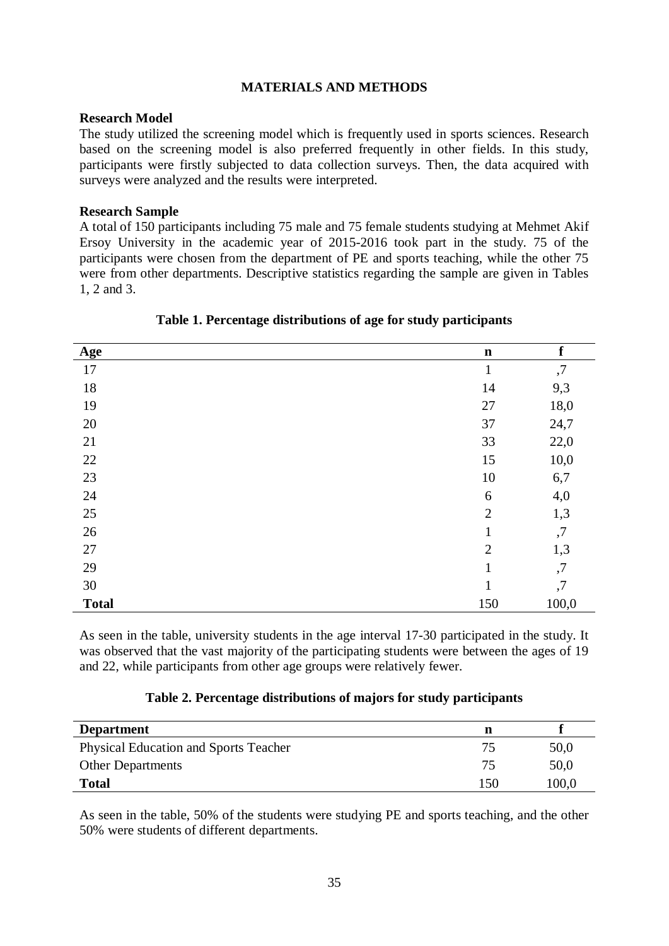### **MATERIALS AND METHODS**

#### **Research Model**

The study utilized the screening model which is frequently used in sports sciences. Research based on the screening model is also preferred frequently in other fields. In this study, participants were firstly subjected to data collection surveys. Then, the data acquired with surveys were analyzed and the results were interpreted.

#### **Research Sample**

A total of 150 participants including 75 male and 75 female students studying at Mehmet Akif Ersoy University in the academic year of 2015-2016 took part in the study. 75 of the participants were chosen from the department of PE and sports teaching, while the other 75 were from other departments. Descriptive statistics regarding the sample are given in Tables 1, 2 and 3.

| <b>Age</b>   | $\mathbf n$    | $\mathbf f$ |
|--------------|----------------|-------------|
| $17\,$       | $\mathbf{1}$   | ,7          |
| 18           | 14             | 9,3         |
| 19           | 27             | 18,0        |
| $20\,$       | 37             | 24,7        |
| 21           | 33             | 22,0        |
| $22\,$       | 15             | 10,0        |
| $23\,$       | $10\,$         | 6,7         |
| 24           | 6              | 4,0         |
| $25\,$       | $\overline{2}$ | 1,3         |
| $26\,$       | $\mathbf{1}$   | ,7          |
| 27           | $\overline{2}$ | 1,3         |
| 29           | 1              | ,7          |
| $30\,$       | 1              | ,7          |
| <b>Total</b> | 150            | 100,0       |

### **Table 1. Percentage distributions of age for study participants**

As seen in the table, university students in the age interval 17-30 participated in the study. It was observed that the vast majority of the participating students were between the ages of 19 and 22, while participants from other age groups were relatively fewer.

### **Table 2. Percentage distributions of majors for study participants**

| <b>Department</b>                            |     |       |
|----------------------------------------------|-----|-------|
| <b>Physical Education and Sports Teacher</b> |     | 50,0  |
| <b>Other Departments</b>                     |     | 50,0  |
| <b>Total</b>                                 | 150 | 100,0 |

As seen in the table, 50% of the students were studying PE and sports teaching, and the other 50% were students of different departments.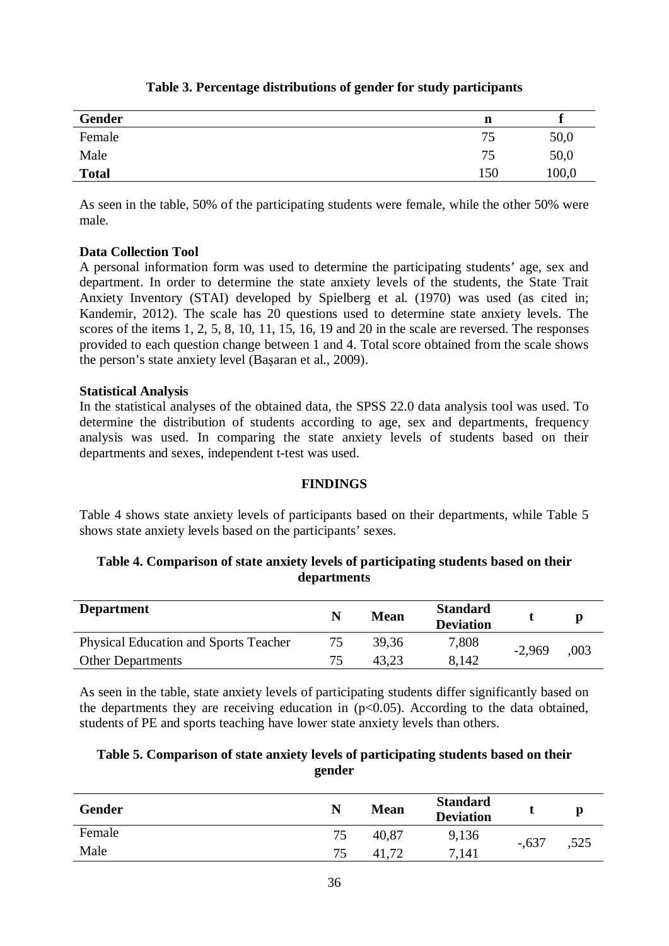| Gender       | n   |       |
|--------------|-----|-------|
| Female       | 75  | 50,0  |
| Male         | 75  | 50,0  |
| <b>Total</b> | 150 | 100,0 |

# **Table 3. Percentage distributions of gender for study participants**

As seen in the table, 50% of the participating students were female, while the other 50% were male.

## **Data Collection Tool**

A personal information form was used to determine the participating students' age, sex and department. In order to determine the state anxiety levels of the students, the State Trait Anxiety Inventory (STAI) developed by Spielberg et al. (1970) was used (as cited in; Kandemir, 2012). The scale has 20 questions used to determine state anxiety levels. The scores of the items 1, 2, 5, 8, 10, 11, 15, 16, 19 and 20 in the scale are reversed. The responses provided to each question change between 1 and 4. Total score obtained from the scale shows the person's state anxiety level (Basaran et al., 2009).

### **Statistical Analysis**

In the statistical analyses of the obtained data, the SPSS 22.0 data analysis tool was used. To determine the distribution of students according to age, sex and departments, frequency analysis was used. In comparing the state anxiety levels of students based on their departments and sexes, independent t-test was used.

# **FINDINGS**

Table 4 shows state anxiety levels of participants based on their departments, while Table 5 shows state anxiety levels based on the participants' sexes.

## **Table 4. Comparison of state anxiety levels of participating students based on their departments**

| <b>Department</b>                            | <b>Mean</b> | <b>Standard</b><br><b>Deviation</b> |          |      |
|----------------------------------------------|-------------|-------------------------------------|----------|------|
| <b>Physical Education and Sports Teacher</b> | 39,36       | 7,808                               | $-2.969$ | .003 |
| <b>Other Departments</b>                     | 43.23       | 8,142                               |          |      |

As seen in the table, state anxiety levels of participating students differ significantly based on the departments they are receiving education in  $(p<0.05)$ . According to the data obtained, students of PE and sports teaching have lower state anxiety levels than others.

## **Table 5. Comparison of state anxiety levels of participating students based on their gender**

| <b>Gender</b> | N  | <b>Mean</b> | <b>Standard</b><br><b>Deviation</b> |         |      |
|---------------|----|-------------|-------------------------------------|---------|------|
| Female        | 75 | 40,87       | 9,136                               | $-.637$ | ,525 |
| Male          | 75 | 41          | 7,141                               |         |      |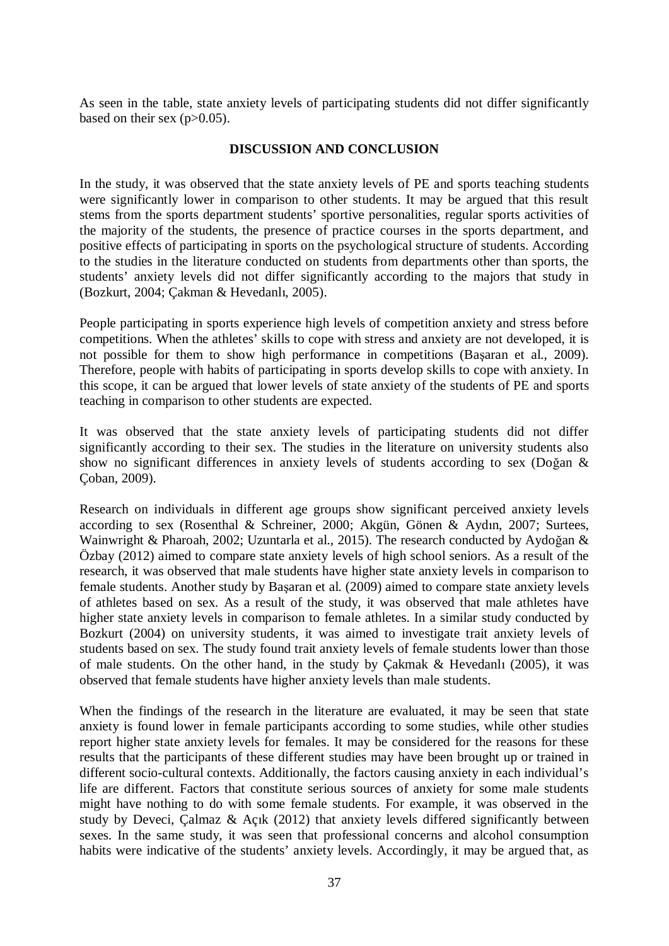As seen in the table, state anxiety levels of participating students did not differ significantly based on their sex  $(p>0.05)$ .

## **DISCUSSION AND CONCLUSION**

In the study, it was observed that the state anxiety levels of PE and sports teaching students were significantly lower in comparison to other students. It may be argued that this result stems from the sports department students' sportive personalities, regular sports activities of the majority of the students, the presence of practice courses in the sports department, and positive effects of participating in sports on the psychological structure of students. According to the studies in the literature conducted on students from departments other than sports, the students' anxiety levels did not differ significantly according to the majors that study in (Bozkurt, 2004; Cakman & Hevedanlı, 2005).

People participating in sports experience high levels of competition anxiety and stress before competitions. When the athletes' skills to cope with stress and anxiety are not developed, it is not possible for them to show high performance in competitions (Basaran et al., 2009). Therefore, people with habits of participating in sports develop skills to cope with anxiety. In this scope, it can be argued that lower levels of state anxiety of the students of PE and sports teaching in comparison to other students are expected.

It was observed that the state anxiety levels of participating students did not differ significantly according to their sex. The studies in the literature on university students also show no significant differences in anxiety levels of students according to sex (Doğan  $\&$ Çoban, 2009).

Research on individuals in different age groups show significant perceived anxiety levels according to sex (Rosenthal & Schreiner, 2000; Akgün, Gönen & Aydın, 2007; Surtees, Wainwright & Pharoah, 2002; Uzuntarla et al., 2015). The research conducted by Aydoğan  $\&$ Özbay (2012) aimed to compare state anxiety levels of high school seniors. As a result of the research, it was observed that male students have higher state anxiety levels in comparison to female students. Another study by Basaran et al. (2009) aimed to compare state anxiety levels of athletes based on sex. As a result of the study, it was observed that male athletes have higher state anxiety levels in comparison to female athletes. In a similar study conducted by Bozkurt (2004) on university students, it was aimed to investigate trait anxiety levels of students based on sex. The study found trait anxiety levels of female students lower than those of male students. On the other hand, in the study by Cakmak  $&$  Hevedanlı (2005), it was observed that female students have higher anxiety levels than male students.

When the findings of the research in the literature are evaluated, it may be seen that state anxiety is found lower in female participants according to some studies, while other studies report higher state anxiety levels for females. It may be considered for the reasons for these results that the participants of these different studies may have been brought up or trained in different socio-cultural contexts. Additionally, the factors causing anxiety in each individual's life are different. Factors that constitute serious sources of anxiety for some male students might have nothing to do with some female students. For example, it was observed in the study by Deveci, Calmaz & Acik (2012) that anxiety levels differed significantly between sexes. In the same study, it was seen that professional concerns and alcohol consumption habits were indicative of the students' anxiety levels. Accordingly, it may be argued that, as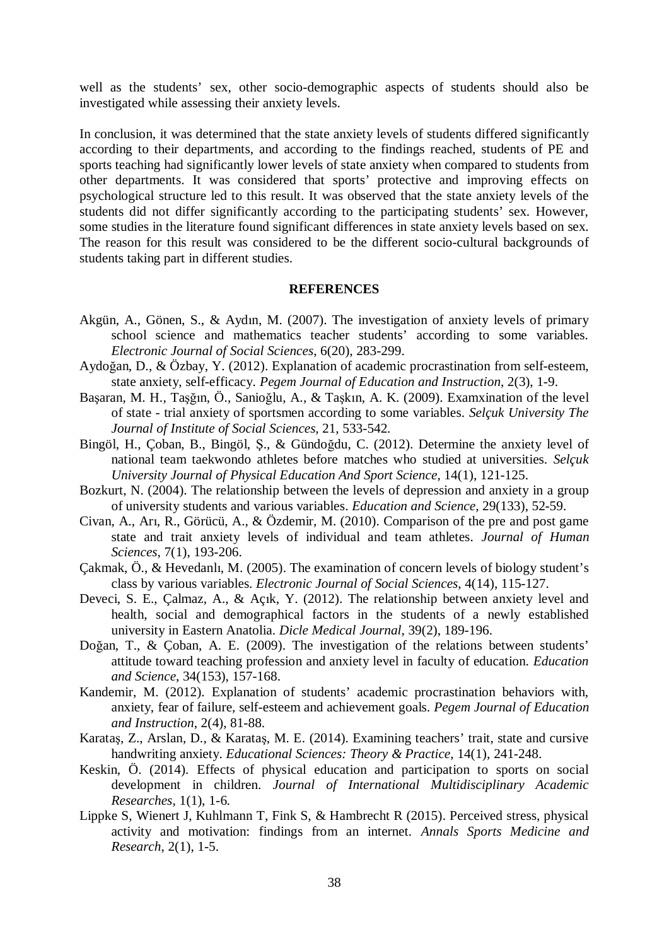well as the students' sex, other socio-demographic aspects of students should also be investigated while assessing their anxiety levels.

In conclusion, it was determined that the state anxiety levels of students differed significantly according to their departments, and according to the findings reached, students of PE and sports teaching had significantly lower levels of state anxiety when compared to students from other departments. It was considered that sports' protective and improving effects on psychological structure led to this result. It was observed that the state anxiety levels of the students did not differ significantly according to the participating students' sex. However, some studies in the literature found significant differences in state anxiety levels based on sex. The reason for this result was considered to be the different socio-cultural backgrounds of students taking part in different studies.

#### **REFERENCES**

- Akgün, A., Gönen, S., & Aydın, M. (2007). The investigation of anxiety levels of primary school science and mathematics teacher students' according to some variables. *Electronic Journal of Social Sciences*, 6(20), 283-299.
- Aydoğan, D., & Özbay, Y. (2012). Explanation of academic procrastination from self-esteem, state anxiety, self-efficacy*. Pegem Journal of Education and Instruction*, 2(3), 1-9.
- Başaran, M. H., Taşğın, Ö., Sanioğlu, A., & Taşkın, A. K. (2009). Examxination of the level of state - trial anxiety of sportsmen according to some variables. *Selçuk University The Journal of Institute of Social Sciences*, 21, 533-542.
- Bingöl, H., Çoban, B., Bingöl, Ş., & Gündoğdu, C. (2012). Determine the anxiety level of national team taekwondo athletes before matches who studied at universities. *Selçuk University Journal of Physical Education And Sport Science*, 14(1), 121-125.
- Bozkurt, N. (2004). The relationship between the levels of depression and anxiety in a group of university students and various variables. *Education and Science*, 29(133), 52-59.
- Civan, A., Arı, R., Görücü, A., & Özdemir, M. (2010). Comparison of the pre and post game state and trait anxiety levels of individual and team athletes. *Journal of Human Sciences*, 7(1), 193-206.
- Çakmak, Ö., & Hevedanlı, M. (2005). The examination of concern levels of biology student's class by various variables. *Electronic Journal of Social Sciences*, 4(14), 115-127.
- Deveci, S. E., Çalmaz, A., & Açık, Y. (2012). The relationship between anxiety level and health, social and demographical factors in the students of a newly established university in Eastern Anatolia. *Dicle Medical Journal*, 39(2), 189-196.
- Doğan, T., & Coban, A. E. (2009). The investigation of the relations between students' attitude toward teaching profession and anxiety level in faculty of education. *Education and Science*, 34(153), 157-168.
- Kandemir, M. (2012). Explanation of students' academic procrastination behaviors with, anxiety, fear of failure, self-esteem and achievement goals. *Pegem Journal of Education and Instruction*, 2(4), 81-88.
- Karataş, Z., Arslan, D., & Karataş, M. E. (2014). Examining teachers' trait, state and cursive handwriting anxiety. *Educational Sciences: Theory & Practice*, 14(1), 241-248.
- Keskin, Ö. (2014). Effects of physical education and participation to sports on social development in children. *Journal of International Multidisciplinary Academic Researches*, 1(1), 1-6.
- Lippke S, Wienert J, Kuhlmann T, Fink S, & Hambrecht R (2015). Perceived stress, physical activity and motivation: findings from an internet. *Annals Sports Medicine and Research*, 2(1), 1-5.